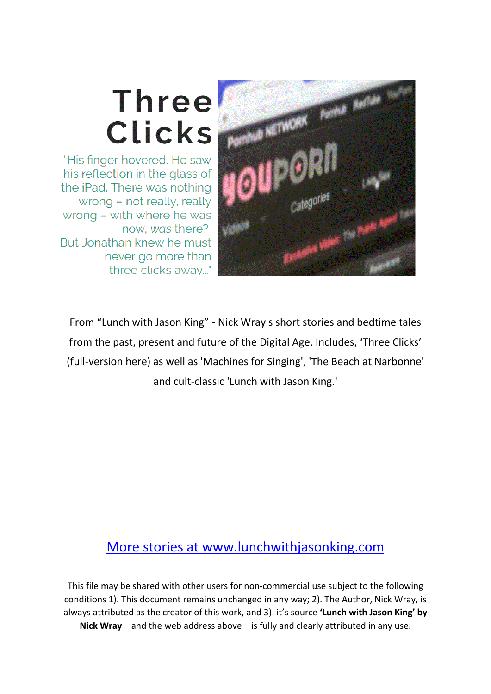# **Three Clicks**

"His finger hovered. He saw his reflection in the glass of the iPad. There was nothing wrong - not really, really wrong - with where he was now, was there? But Jonathan knew he must never go more than three clicks away..."



From "Lunch with Jason King" - Nick Wray's short stories and bedtime tales from the past, present and future of the Digital Age. Includes, 'Three Clicks' (full-version here) as well as 'Machines for Singing', 'The Beach at Narbonne' and cult-classic 'Lunch with Jason King.'

## [More stories at www.lunchwithjasonking.com](http://www.lunchwithjasonking.com/)

This file may be shared with other users for non-commercial use subject to the following conditions 1). This document remains unchanged in any way; 2). The Author, Nick Wray, is always attributed as the creator of this work, and 3). it's source **'Lunch with Jason King' by Nick Wray** – and the web address above – is fully and clearly attributed in any use.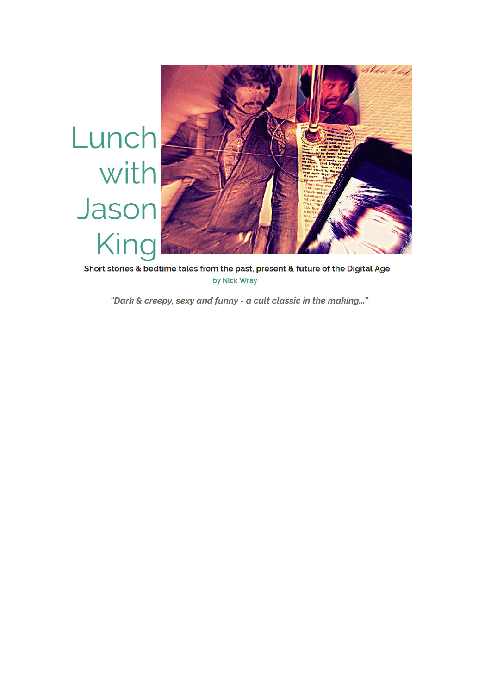

Short stories & bedtime tales from the past, present & future of the Digital Age by Nick Wray

"Dark & creepy, sexy and funny - a cult classic in the making..."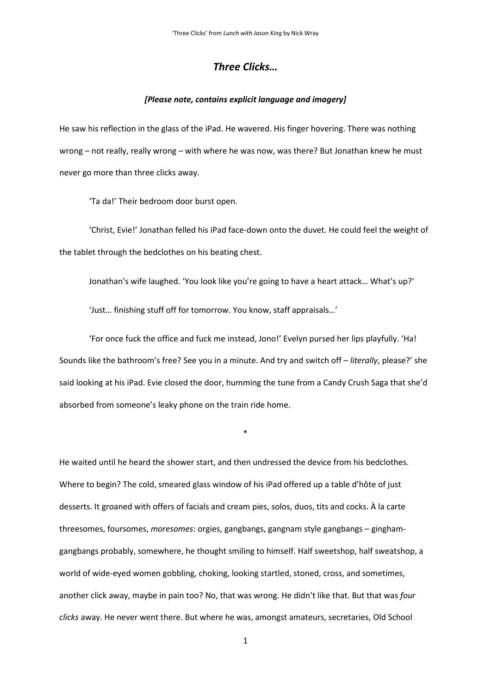### *Three Clicks…*

#### *[Please note, contains explicit language and imagery]*

He saw his reflection in the glass of the iPad. He wavered. His finger hovering. There was nothing wrong – not really, really wrong – with where he was now, was there? But Jonathan knew he must never go more than three clicks away.

'Ta da!' Their bedroom door burst open.

'Christ, Evie!' Jonathan felled his iPad face-down onto the duvet. He could feel the weight of the tablet through the bedclothes on his beating chest.

Jonathan's wife laughed. 'You look like you're going to have a heart attack… What's up?'

'Just… finishing stuff off for tomorrow. You know, staff appraisals…'

'For once fuck the office and fuck me instead, Jono!' Evelyn pursed her lips playfully. 'Ha! Sounds like the bathroom's free? See you in a minute. And try and switch off – *literally*, please?' she said looking at his iPad. Evie closed the door, humming the tune from a Candy Crush Saga that she'd absorbed from someone's leaky phone on the train ride home.

\*

He waited until he heard the shower start, and then undressed the device from his bedclothes. Where to begin? The cold, smeared glass window of his iPad offered up a table d'hôte of just desserts. It groaned with offers of facials and cream pies, solos, duos, tits and cocks. À la carte threesomes, foursomes, *moresomes*: orgies, gangbangs, gangnam style gangbangs – ginghamgangbangs probably, somewhere, he thought smiling to himself. Half sweetshop, half sweatshop, a world of wide-eyed women gobbling, choking, looking startled, stoned, cross, and sometimes, another click away, maybe in pain too? No, that was wrong. He didn't like that. But that was *four clicks* away. He never went there. But where he was, amongst amateurs, secretaries, Old School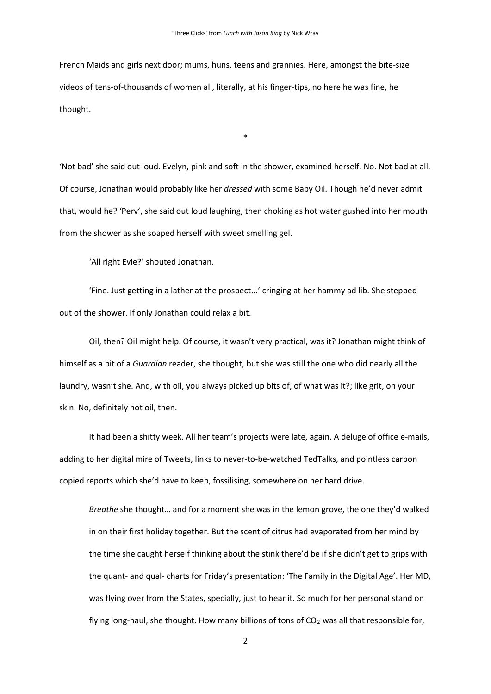French Maids and girls next door; mums, huns, teens and grannies. Here, amongst the bite-size videos of tens-of-thousands of women all, literally, at his finger-tips, no here he was fine, he thought.

'Not bad' she said out loud. Evelyn, pink and soft in the shower, examined herself. No. Not bad at all. Of course, Jonathan would probably like her *dressed* with some Baby Oil. Though he'd never admit that, would he? 'Perv', she said out loud laughing, then choking as hot water gushed into her mouth from the shower as she soaped herself with sweet smelling gel.

\*

'All right Evie?' shouted Jonathan.

'Fine. Just getting in a lather at the prospect...' cringing at her hammy ad lib. She stepped out of the shower. If only Jonathan could relax a bit.

Oil, then? Oil might help. Of course, it wasn't very practical, was it? Jonathan might think of himself as a bit of a *Guardian* reader, she thought, but she was still the one who did nearly all the laundry, wasn't she. And, with oil, you always picked up bits of, of what was it?; like grit, on your skin. No, definitely not oil, then.

It had been a shitty week. All her team's projects were late, again. A deluge of office e-mails, adding to her digital mire of Tweets, links to never-to-be-watched TedTalks, and pointless carbon copied reports which she'd have to keep, fossilising, somewhere on her hard drive.

*Breathe* she thought… and for a moment she was in the lemon grove, the one they'd walked in on their first holiday together. But the scent of citrus had evaporated from her mind by the time she caught herself thinking about the stink there'd be if she didn't get to grips with the quant- and qual- charts for Friday's presentation: 'The Family in the Digital Age'. Her MD, was flying over from the States, specially, just to hear it. So much for her personal stand on flying long-haul, she thought. How many billions of tons of  $CO<sub>2</sub>$  was all that responsible for,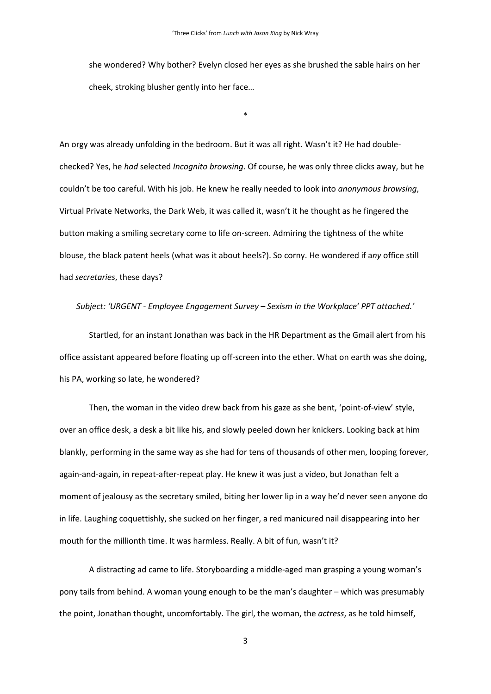she wondered? Why bother? Evelyn closed her eyes as she brushed the sable hairs on her cheek, stroking blusher gently into her face…

\*

An orgy was already unfolding in the bedroom. But it was all right. Wasn't it? He had doublechecked? Yes, he *had* selected *Incognito browsing*. Of course, he was only three clicks away, but he couldn't be too careful. With his job. He knew he really needed to look into *anonymous browsing*, Virtual Private Networks, the Dark Web, it was called it, wasn't it he thought as he fingered the button making a smiling secretary come to life on-screen. Admiring the tightness of the white blouse, the black patent heels (what was it about heels?). So corny. He wondered if a*ny* office still had *secretaries*, these days?

#### *Subject: 'URGENT - Employee Engagement Survey – Sexism in the Workplace' PPT attached.'*

Startled, for an instant Jonathan was back in the HR Department as the Gmail alert from his office assistant appeared before floating up off-screen into the ether. What on earth was she doing, his PA, working so late, he wondered?

Then, the woman in the video drew back from his gaze as she bent, 'point-of-view' style, over an office desk, a desk a bit like his, and slowly peeled down her knickers. Looking back at him blankly, performing in the same way as she had for tens of thousands of other men, looping forever, again-and-again, in repeat-after-repeat play. He knew it was just a video, but Jonathan felt a moment of jealousy as the secretary smiled, biting her lower lip in a way he'd never seen anyone do in life. Laughing coquettishly, she sucked on her finger, a red manicured nail disappearing into her mouth for the millionth time. It was harmless. Really. A bit of fun, wasn't it?

A distracting ad came to life. Storyboarding a middle-aged man grasping a young woman's pony tails from behind. A woman young enough to be the man's daughter – which was presumably the point, Jonathan thought, uncomfortably. The girl, the woman, the *actress*, as he told himself,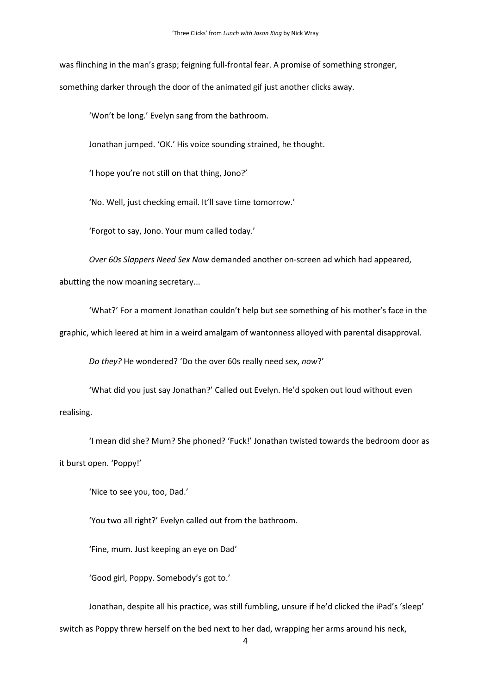was flinching in the man's grasp; feigning full-frontal fear. A promise of something stronger, something darker through the door of the animated gif just another clicks away.

'Won't be long.' Evelyn sang from the bathroom.

Jonathan jumped. 'OK.' His voice sounding strained, he thought.

'I hope you're not still on that thing, Jono?'

'No. Well, just checking email. It'll save time tomorrow.'

'Forgot to say, Jono. Your mum called today.'

*Over 60s Slappers Need Sex Now* demanded another on-screen ad which had appeared, abutting the now moaning secretary...

'What?' For a moment Jonathan couldn't help but see something of his mother's face in the graphic, which leered at him in a weird amalgam of wantonness alloyed with parental disapproval.

*Do they?* He wondered? 'Do the over 60s really need sex, *now*?'

'What did you just say Jonathan?' Called out Evelyn. He'd spoken out loud without even realising.

'I mean did she? Mum? She phoned? 'Fuck!' Jonathan twisted towards the bedroom door as it burst open. 'Poppy!'

'Nice to see you, too, Dad.'

'You two all right?' Evelyn called out from the bathroom.

'Fine, mum. Just keeping an eye on Dad'

'Good girl, Poppy. Somebody's got to.'

Jonathan, despite all his practice, was still fumbling, unsure if he'd clicked the iPad's 'sleep'

switch as Poppy threw herself on the bed next to her dad, wrapping her arms around his neck,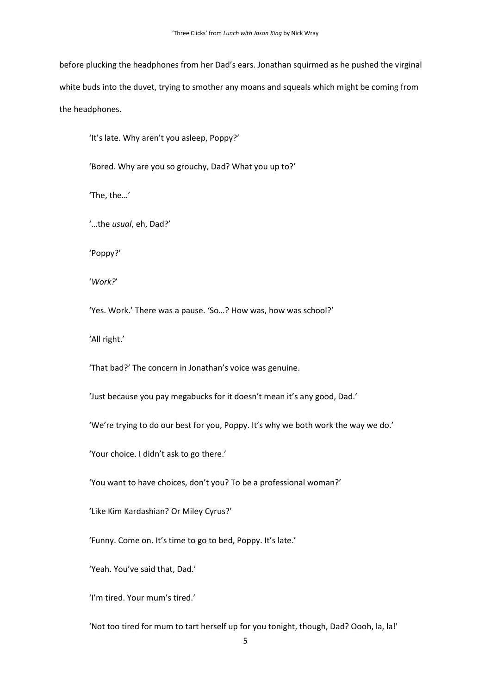before plucking the headphones from her Dad's ears. Jonathan squirmed as he pushed the virginal white buds into the duvet, trying to smother any moans and squeals which might be coming from the headphones.

'It's late. Why aren't you asleep, Poppy?'

'Bored. Why are you so grouchy, Dad? What you up to?'

'The, the…'

'…the *usual*, eh, Dad?'

'Poppy?'

'*Work?*'

'Yes. Work.' There was a pause. 'So…? How was, how was school?'

'All right.'

'That bad?' The concern in Jonathan's voice was genuine.

'Just because you pay megabucks for it doesn't mean it's any good, Dad.'

'We're trying to do our best for you, Poppy. It's why we both work the way we do.'

'Your choice. I didn't ask to go there.'

'You want to have choices, don't you? To be a professional woman?'

'Like Kim Kardashian? Or Miley Cyrus?'

'Funny. Come on. It's time to go to bed, Poppy. It's late.'

'Yeah. You've said that, Dad.'

'I'm tired. Your mum's tired.'

'Not too tired for mum to tart herself up for you tonight, though, Dad? Oooh, la, la!'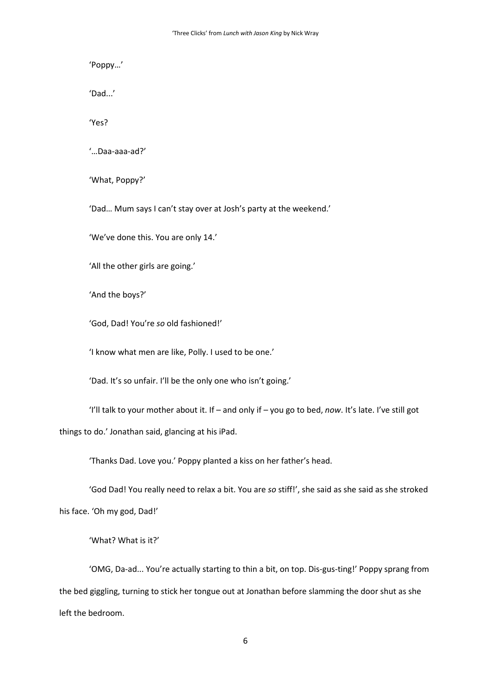'Poppy…'

'Dad...'

'Yes?

'…Daa-aaa-ad?'

'What, Poppy?'

'Dad… Mum says I can't stay over at Josh's party at the weekend.'

'We've done this. You are only 14.'

'All the other girls are going.'

'And the boys?'

'God, Dad! You're *so* old fashioned!'

'I know what men are like, Polly. I used to be one.'

'Dad. It's so unfair. I'll be the only one who isn't going.'

'I'll talk to your mother about it. If – and only if – you go to bed, *now*. It's late. I've still got things to do.' Jonathan said, glancing at his iPad.

'Thanks Dad. Love you.' Poppy planted a kiss on her father's head.

'God Dad! You really need to relax a bit. You are *so* stiff!', she said as she said as she stroked his face. 'Oh my god, Dad!'

'What? What is it?'

'OMG, Da-ad... You're actually starting to thin a bit, on top. Dis-gus-ting!' Poppy sprang from the bed giggling, turning to stick her tongue out at Jonathan before slamming the door shut as she left the bedroom.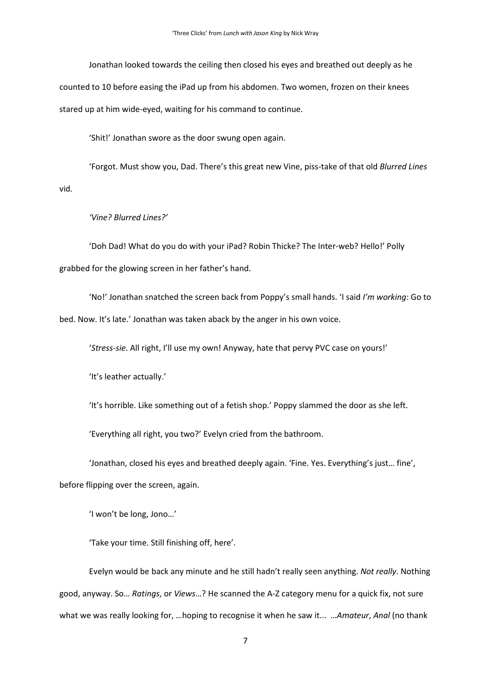Jonathan looked towards the ceiling then closed his eyes and breathed out deeply as he counted to 10 before easing the iPad up from his abdomen. Two women, frozen on their knees stared up at him wide-eyed, waiting for his command to continue.

'Shit!' Jonathan swore as the door swung open again.

'Forgot. Must show you, Dad. There's this great new Vine, piss-take of that old *Blurred Lines*  vid*.*

#### *'Vine? Blurred Lines?'*

'Doh Dad! What do you do with your iPad? Robin Thicke? The Inter-web? Hello!' Polly grabbed for the glowing screen in her father's hand.

'No!' Jonathan snatched the screen back from Poppy's small hands. 'I said *I'm working*: Go to bed. Now. It's late.' Jonathan was taken aback by the anger in his own voice.

'*Stress-sie*. All right, I'll use my own! Anyway, hate that pervy PVC case on yours!'

'It's leather actually.'

'It's horrible. Like something out of a fetish shop.' Poppy slammed the door as she left.

'Everything all right, you two?' Evelyn cried from the bathroom.

'Jonathan, closed his eyes and breathed deeply again. 'Fine. Yes. Everything's just… fine',

before flipping over the screen, again.

'I won't be long, Jono…'

'Take your time. Still finishing off, here'.

Evelyn would be back any minute and he still hadn't really seen anything. *Not really*. Nothing good, anyway. So… *Ratings*, or *Views*…? He scanned the A-Z category menu for a quick fix, not sure what we was really looking for, …hoping to recognise it when he saw it... …*Amateur*, *Anal* (no thank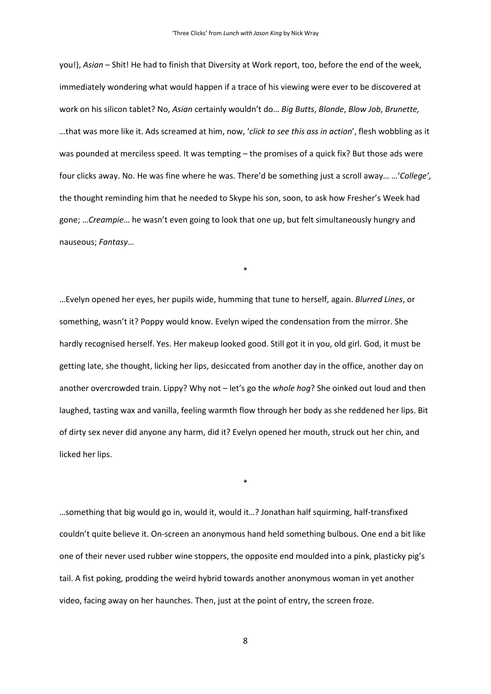you!), *Asian* – Shit! He had to finish that Diversity at Work report, too, before the end of the week, immediately wondering what would happen if a trace of his viewing were ever to be discovered at work on his silicon tablet? No, *Asian* certainly wouldn't do… *Big Butts*, *Blonde*, *Blow Job*, *Brunette, …*that was more like it. Ads screamed at him, now, '*click to see this ass in action*', flesh wobbling as it was pounded at merciless speed. It was tempting – the promises of a quick fix? But those ads were four clicks away. No. He was fine where he was. There'd be something just a scroll away… …'*College',*  the thought reminding him that he needed to Skype his son, soon, to ask how Fresher's Week had gone; …*Creampie*… he wasn't even going to look that one up, but felt simultaneously hungry and nauseous; *Fantasy*…

\*

…Evelyn opened her eyes, her pupils wide, humming that tune to herself, again. *Blurred Lines*, or something, wasn't it? Poppy would know. Evelyn wiped the condensation from the mirror. She hardly recognised herself. Yes. Her makeup looked good. Still got it in you, old girl. God, it must be getting late, she thought, licking her lips, desiccated from another day in the office, another day on another overcrowded train. Lippy? Why not – let's go the *whole hog*? She oinked out loud and then laughed, tasting wax and vanilla, feeling warmth flow through her body as she reddened her lips. Bit of dirty sex never did anyone any harm, did it? Evelyn opened her mouth, struck out her chin, and licked her lips.

…something that big would go in, would it, would it…? Jonathan half squirming, half-transfixed couldn't quite believe it. On-screen an anonymous hand held something bulbous. One end a bit like one of their never used rubber wine stoppers, the opposite end moulded into a pink, plasticky pig's tail. A fist poking, prodding the weird hybrid towards another anonymous woman in yet another video, facing away on her haunches. Then, just at the point of entry, the screen froze.

\*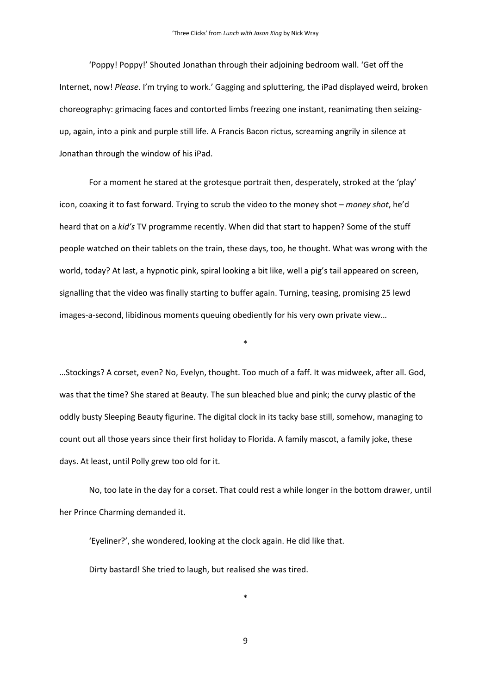'Poppy! Poppy!' Shouted Jonathan through their adjoining bedroom wall. 'Get off the Internet, now! *Please*. I'm trying to work.' Gagging and spluttering, the iPad displayed weird, broken choreography: grimacing faces and contorted limbs freezing one instant, reanimating then seizingup, again, into a pink and purple still life. A Francis Bacon rictus, screaming angrily in silence at Jonathan through the window of his iPad.

For a moment he stared at the grotesque portrait then, desperately, stroked at the 'play' icon, coaxing it to fast forward. Trying to scrub the video to the money shot – *money shot*, he'd heard that on a *kid's* TV programme recently. When did that start to happen? Some of the stuff people watched on their tablets on the train, these days, too, he thought. What was wrong with the world, today? At last, a hypnotic pink, spiral looking a bit like, well a pig's tail appeared on screen, signalling that the video was finally starting to buffer again. Turning, teasing, promising 25 lewd images-a-second, libidinous moments queuing obediently for his very own private view…

…Stockings? A corset, even? No, Evelyn, thought. Too much of a faff. It was midweek, after all. God, was that the time? She stared at Beauty. The sun bleached blue and pink; the curvy plastic of the oddly busty Sleeping Beauty figurine. The digital clock in its tacky base still, somehow, managing to count out all those years since their first holiday to Florida. A family mascot, a family joke, these days. At least, until Polly grew too old for it.

\*

No, too late in the day for a corset. That could rest a while longer in the bottom drawer, until her Prince Charming demanded it.

'Eyeliner?', she wondered, looking at the clock again. He did like that. Dirty bastard! She tried to laugh, but realised she was tired.

9

\*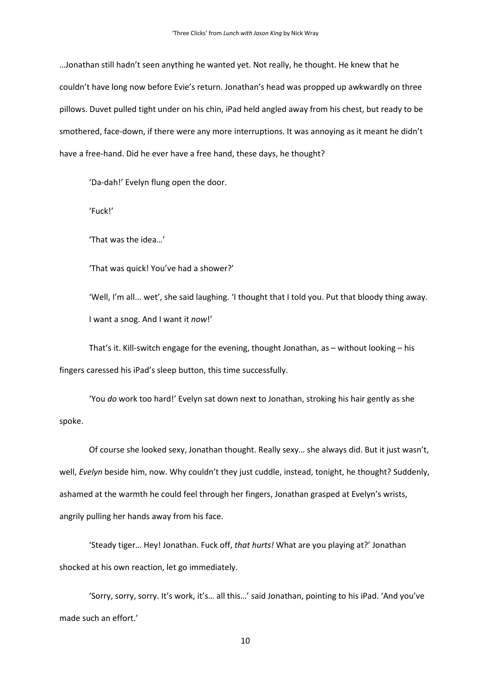…Jonathan still hadn't seen anything he wanted yet. Not really, he thought. He knew that he couldn't have long now before Evie's return. Jonathan's head was propped up awkwardly on three pillows. Duvet pulled tight under on his chin, iPad held angled away from his chest, but ready to be smothered, face-down, if there were any more interruptions. It was annoying as it meant he didn't have a free-hand. Did he ever have a free hand, these days, he thought?

'Da-dah!' Evelyn flung open the door.

'Fuck!'

'That was the idea…'

'That was quick! You've had a shower?'

'Well, I'm all... wet', she said laughing. 'I thought that I told you. Put that bloody thing away. I want a snog. And I want it *now*!'

That's it. Kill-switch engage for the evening, thought Jonathan, as – without looking – his fingers caressed his iPad's sleep button, this time successfully.

'You *do* work too hard!' Evelyn sat down next to Jonathan, stroking his hair gently as she spoke.

Of course she looked sexy, Jonathan thought. Really sexy… she always did. But it just wasn't, well, *Evelyn* beside him, now. Why couldn't they just cuddle, instead, tonight, he thought? Suddenly, ashamed at the warmth he could feel through her fingers, Jonathan grasped at Evelyn's wrists, angrily pulling her hands away from his face.

'Steady tiger… Hey! Jonathan. Fuck off, *that hurts!* What are you playing at?' Jonathan shocked at his own reaction, let go immediately.

'Sorry, sorry, sorry. It's work, it's… all this…' said Jonathan, pointing to his iPad. 'And you've made such an effort.'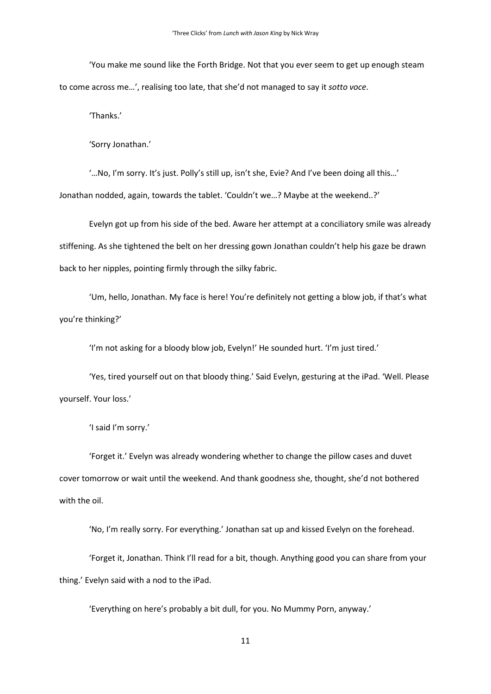'You make me sound like the Forth Bridge. Not that you ever seem to get up enough steam to come across me…', realising too late, that she'd not managed to say it *sotto voce*.

'Thanks.'

'Sorry Jonathan.'

'…No, I'm sorry. It's just. Polly's still up, isn't she, Evie? And I've been doing all this…' Jonathan nodded, again, towards the tablet. 'Couldn't we…? Maybe at the weekend..?'

Evelyn got up from his side of the bed. Aware her attempt at a conciliatory smile was already stiffening. As she tightened the belt on her dressing gown Jonathan couldn't help his gaze be drawn back to her nipples, pointing firmly through the silky fabric.

'Um, hello, Jonathan. My face is here! You're definitely not getting a blow job, if that's what you're thinking?'

'I'm not asking for a bloody blow job, Evelyn!' He sounded hurt. 'I'm just tired.'

'Yes, tired yourself out on that bloody thing.' Said Evelyn, gesturing at the iPad. 'Well. Please yourself. Your loss.'

'I said I'm sorry.'

'Forget it.' Evelyn was already wondering whether to change the pillow cases and duvet cover tomorrow or wait until the weekend. And thank goodness she, thought, she'd not bothered with the oil.

'No, I'm really sorry. For everything.' Jonathan sat up and kissed Evelyn on the forehead.

'Forget it, Jonathan. Think I'll read for a bit, though. Anything good you can share from your thing.' Evelyn said with a nod to the iPad.

'Everything on here's probably a bit dull, for you. No Mummy Porn, anyway.'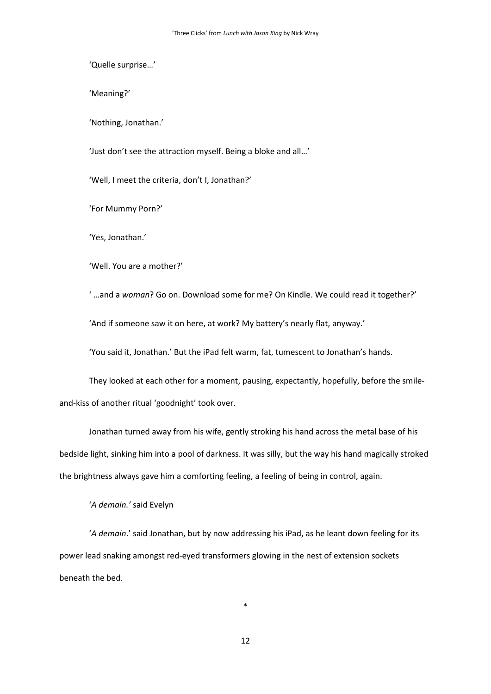'Quelle surprise…'

'Meaning?'

'Nothing, Jonathan.'

'Just don't see the attraction myself. Being a bloke and all…'

'Well, I meet the criteria, don't I, Jonathan?'

'For Mummy Porn?'

'Yes, Jonathan.'

'Well. You are a mother?'

' …and a *woman*? Go on. Download some for me? On Kindle. We could read it together?'

'And if someone saw it on here, at work? My battery's nearly flat, anyway.'

'You said it, Jonathan.' But the iPad felt warm, fat, tumescent to Jonathan's hands.

They looked at each other for a moment, pausing, expectantly, hopefully, before the smileand-kiss of another ritual 'goodnight' took over.

Jonathan turned away from his wife, gently stroking his hand across the metal base of his bedside light, sinking him into a pool of darkness. It was silly, but the way his hand magically stroked the brightness always gave him a comforting feeling, a feeling of being in control, again.

'*A demain.'* said Evelyn

'*A demain*.' said Jonathan, but by now addressing his iPad, as he leant down feeling for its power lead snaking amongst red-eyed transformers glowing in the nest of extension sockets beneath the bed.

12

\*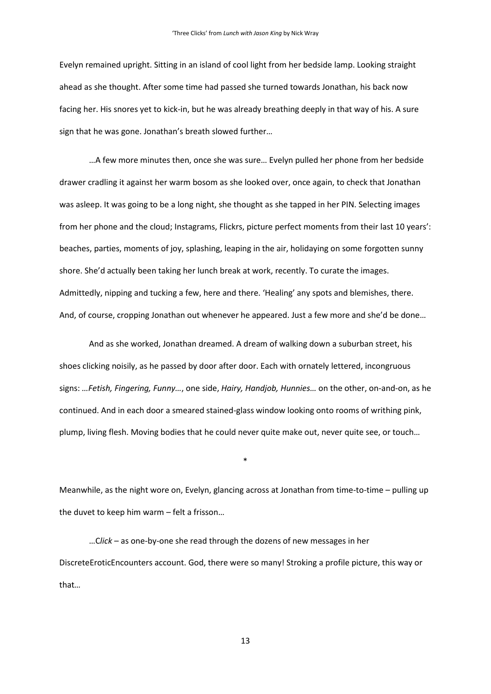Evelyn remained upright. Sitting in an island of cool light from her bedside lamp. Looking straight ahead as she thought. After some time had passed she turned towards Jonathan, his back now facing her. His snores yet to kick-in, but he was already breathing deeply in that way of his. A sure sign that he was gone. Jonathan's breath slowed further…

…A few more minutes then, once she was sure… Evelyn pulled her phone from her bedside drawer cradling it against her warm bosom as she looked over, once again, to check that Jonathan was asleep. It was going to be a long night, she thought as she tapped in her PIN. Selecting images from her phone and the cloud; Instagrams, Flickrs, picture perfect moments from their last 10 years': beaches, parties, moments of joy, splashing, leaping in the air, holidaying on some forgotten sunny shore. She'd actually been taking her lunch break at work, recently. To curate the images. Admittedly, nipping and tucking a few, here and there. 'Healing' any spots and blemishes, there. And, of course, cropping Jonathan out whenever he appeared. Just a few more and she'd be done…

And as she worked, Jonathan dreamed. A dream of walking down a suburban street, his shoes clicking noisily, as he passed by door after door. Each with ornately lettered, incongruous signs: *…Fetish, Fingering, Funny…*, one side, *Hairy, Handjob, Hunnies…* on the other, on-and-on, as he continued. And in each door a smeared stained-glass window looking onto rooms of writhing pink, plump, living flesh. Moving bodies that he could never quite make out, never quite see, or touch…

Meanwhile, as the night wore on, Evelyn, glancing across at Jonathan from time-to-time – pulling up the duvet to keep him warm – felt a frisson…

\*

…C*lick* – as one-by-one she read through the dozens of new messages in her DiscreteEroticEncounters account. God, there were so many! Stroking a profile picture, this way or that*…*